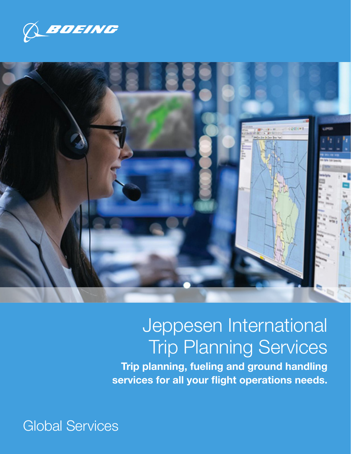



# Jeppesen International Trip Planning Services

Trip planning, fueling and ground handling services for all your flight operations needs.

Global Services